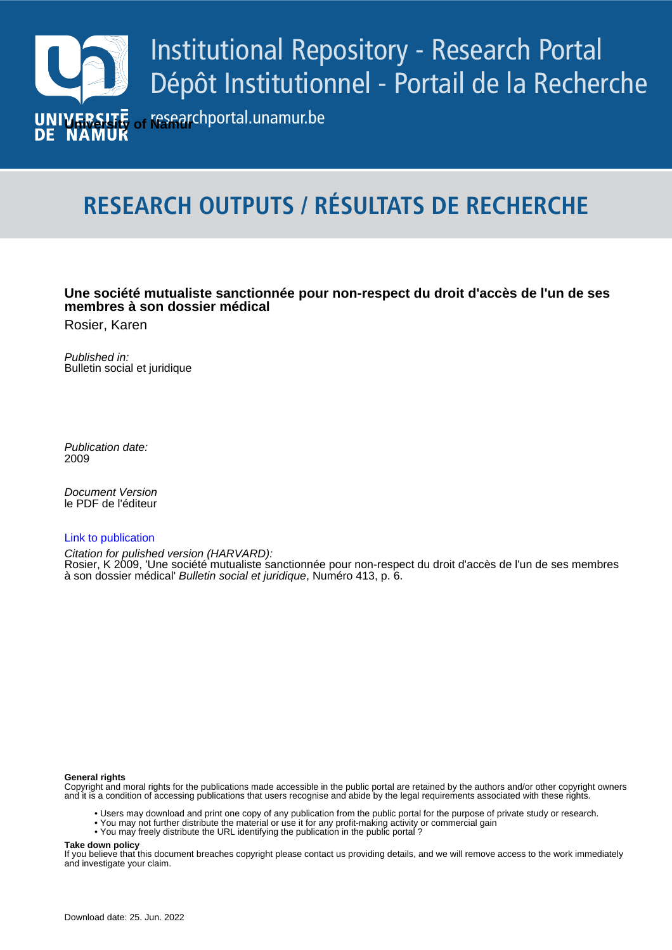

# **RESEARCH OUTPUTS / RÉSULTATS DE RECHERCHE**

### **Une société mutualiste sanctionnée pour non-respect du droit d'accès de l'un de ses membres à son dossier médical**

Rosier, Karen

Published in: Bulletin social et juridique

Publication date: 2009

**Document Version** le PDF de l'éditeur

#### [Link to publication](https://researchportal.unamur.be/fr/publications/b790141d-97e0-44d5-8957-567628131bec)

Citation for pulished version (HARVARD):

Rosier, K 2009, 'Une société mutualiste sanctionnée pour non-respect du droit d'accès de l'un de ses membres<br>è sep dessier médicali *Bulletin pociel et juridique*, Numére 412, p. 6. à son dossier médical' Bulletin social et juridique, Numéro 413, p. 6.

#### **General rights**

Copyright and moral rights for the publications made accessible in the public portal are retained by the authors and/or other copyright owners and it is a condition of accessing publications that users recognise and abide by the legal requirements associated with these rights.

- Users may download and print one copy of any publication from the public portal for the purpose of private study or research.
- You may not further distribute the material or use it for any profit-making activity or commercial gain
- You may freely distribute the URL identifying the publication in the public portal ?

#### **Take down policy**

If you believe that this document breaches copyright please contact us providing details, and we will remove access to the work immediately and investigate your claim.